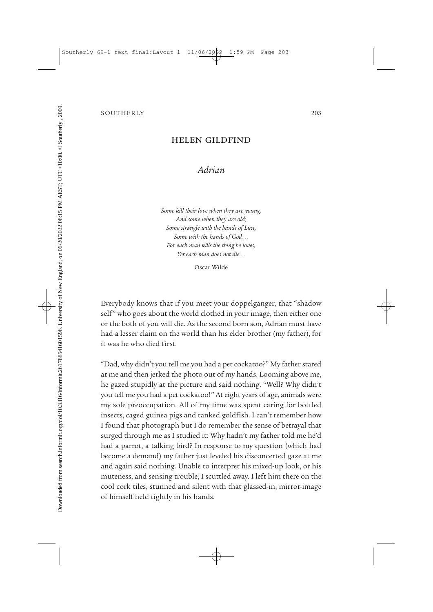## SOUTHERLY 203

## HELEN GILDFIND

## *Adrian*

*Some kill their love when they are young, And some when they are old; Some strangle with the hands of Lust, Some with the hands of God... For each man kills the thing he loves, Yet each man does not die...*

Oscar Wilde

Everybody knows that if you meet your doppelganger, that "shadow self" who goes about the world clothed in your image, then either one or the both of you will die. As the second born son, Adrian must have had a lesser claim on the world than his elder brother (my father), for it was he who died first.

"Dad, why didn't you tell me you had a pet cockatoo?" My father stared at me and then jerked the photo out of my hands. Looming above me, he gazed stupidly at the picture and said nothing. "Well? Why didn't you tell me you had a pet cockatoo!" At eight years of age, animals were my sole preoccupation. All of my time was spent caring for bottled insects, caged guinea pigs and tanked goldfish. I can't remember how I found that photograph but I do remember the sense of betrayal that surged through me as I studied it: Why hadn't my father told me he'd had a parrot, a talking bird? In response to my question (which had become a demand) my father just leveled his disconcerted gaze at me and again said nothing. Unable to interpret his mixed-up look, or his muteness, and sensing trouble, I scuttled away. I left him there on the cool cork tiles, stunned and silent with that glassed-in, mirror-image of himself held tightly in his hands.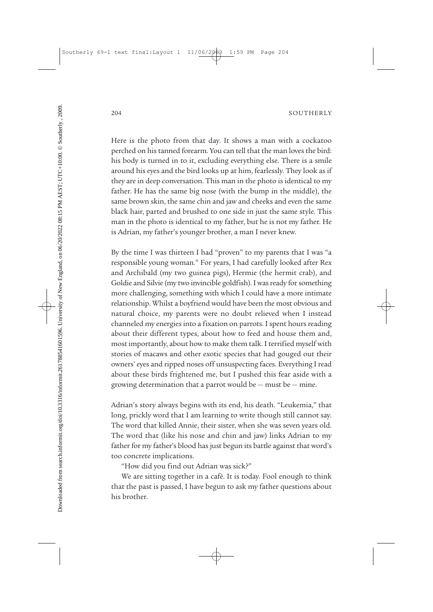Here is the photo from that day. It shows a man with a cockatoo perched on his tanned forearm. You can tell that the man loves the bird: his body is turned in to it, excluding everything else. There is a smile around his eyes and the bird looks up at him, fearlessly. They look as if they are in deep conversation. This man in the photo is identical to my father. He has the same big nose (with the bump in the middle), the same brown skin, the same chin and jaw and cheeks and even the same black hair, parted and brushed to one side in just the same style. This man in the photo is identical to my father, but he is not my father. He is Adrian, my father's younger brother, a man I never knew.

By the time I was thirteen I had "proven" to my parents that I was "a responsible young woman." For years, I had carefully looked after Rex and Archibald (my two guinea pigs), Hermie (the hermit crab), and Goldie and Silvie (my two invincible goldfish). I was ready for something more challenging, something with which I could have a more intimate relationship. Whilst a boyfriend would have been the most obvious and natural choice, my parents were no doubt relieved when I instead channeled my energies into a fixation on parrots. I spent hours reading about their different types, about how to feed and house them and, most importantly, about how to make them talk. I terrified myself with stories of macaws and other exotic species that had gouged out their owners' eyes and ripped noses off unsuspecting faces. Everything I read about these birds frightened me, but I pushed this fear aside with a growing determination that a parrot would be  $-$  must be  $-$  mine.

Adrian's story always begins with its end, his death. "Leukemia," that long, prickly word that I am learning to write though still cannot say. The word that killed Annie, their sister, when she was seven years old. The word that (like his nose and chin and jaw) links Adrian to my father for my father's blood has just begun its battle against that word's too concrete implications.

"How did you find out Adrian was sick?"

We are sitting together in a café. It is today. Fool enough to think that the past is passed, I have begun to ask my father questions about his brother.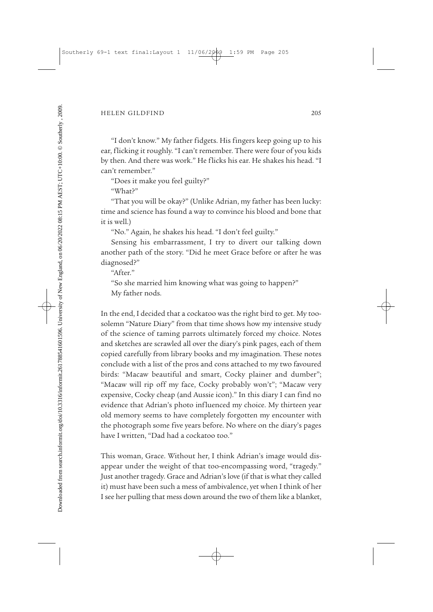## HELEN GILDFIND 205

"I don't know." My father fidgets. His fingers keep going up to his ear, flicking it roughly. "I can't remember. There were four of you kids by then. And there was work." He flicks his ear. He shakes his head. "I can't remember."

"Does it make you feel guilty?"

"What?"

"That you will be okay?" (Unlike Adrian, my father has been lucky: time and science has found a way to convince his blood and bone that it is well.)

"No." Again, he shakes his head. "I don't feel guilty."

Sensing his embarrassment, I try to divert our talking down another path of the story. "Did he meet Grace before or after he was diagnosed?"

"After."

"So she married him knowing what was going to happen?" My father nods.

In the end, I decided that a cockatoo was the right bird to get. My toosolemn "Nature Diary" from that time shows how my intensive study of the science of taming parrots ultimately forced my choice. Notes and sketches are scrawled all over the diary's pink pages, each of them copied carefully from library books and my imagination. These notes conclude with a list of the pros and cons attached to my two favoured birds: "Macaw beautiful and smart, Cocky plainer and dumber"; "Macaw will rip off my face, Cocky probably won't"; "Macaw very expensive, Cocky cheap (and Aussie icon)." In this diary I can find no evidence that Adrian's photo influenced my choice. My thirteen year old memory seems to have completely forgotten my encounter with the photograph some five years before. No where on the diary's pages have I written, "Dad had a cockatoo too."

This woman, Grace. Without her, I think Adrian's image would disappear under the weight of that too-encompassing word, "tragedy." Just another tragedy. Grace and Adrian's love (if that is what they called it) must have been such a mess of ambivalence, yet when I think of her I see her pulling that mess down around the two of them like a blanket,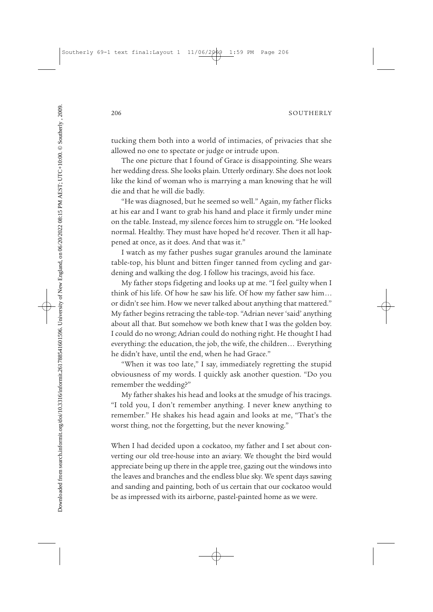tucking them both into a world of intimacies, of privacies that she allowed no one to spectate or judge or intrude upon.

The one picture that I found of Grace is disappointing. She wears her wedding dress. She looks plain. Utterly ordinary. She does not look like the kind of woman who is marrying a man knowing that he will die and that he will die badly.

"He was diagnosed, but he seemed so well." Again, my father flicks at his ear and I want to grab his hand and place it firmly under mine on the table. Instead, my silence forces him to struggle on. "He looked normal. Healthy. They must have hoped he'd recover. Then it all happened at once, as it does. And that was it."

I watch as my father pushes sugar granules around the laminate table-top, his blunt and bitten finger tanned from cycling and gardening and walking the dog. I follow his tracings, avoid his face.

My father stops fidgeting and looks up at me. "I feel guilty when I think of his life. Of how he saw his life. Of how my father saw him... or didn't see him. How we never talked about anything that mattered." My father begins retracing the table-top. "Adrian never 'said' anything about all that. But somehow we both knew that I was the golden boy. I could do no wrong; Adrian could do nothing right. He thought I had everything: the education, the job, the wife, the children... Everything he didn't have, until the end, when he had Grace."

"When it was too late," I say, immediately regretting the stupid obviousness of my words. I quickly ask another question. "Do you remember the wedding?"

My father shakes his head and looks at the smudge of his tracings. "I told you, I don't remember anything. I never knew anything to remember." He shakes his head again and looks at me, "That's the worst thing, not the forgetting, but the never knowing."

When I had decided upon a cockatoo, my father and I set about converting our old tree-house into an aviary. We thought the bird would appreciate being up there in the apple tree, gazing out the windows into the leaves and branches and the endless blue sky. We spent days sawing and sanding and painting, both of us certain that our cockatoo would be as impressed with its airborne, pastel-painted home as we were.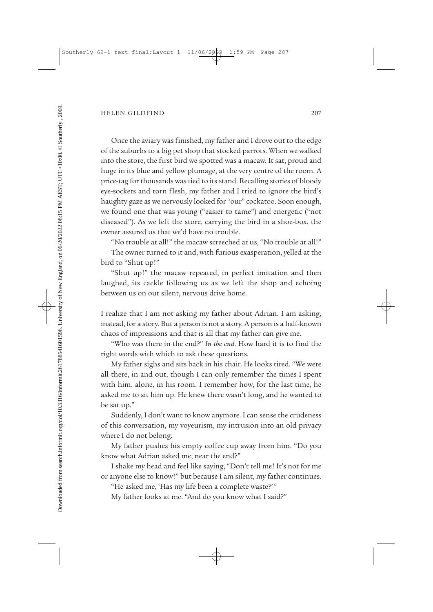Once the aviary was finished, my father and I drove out to the edge of the suburbs to a big pet shop that stocked parrots. When we walked into the store, the first bird we spotted was a macaw. It sat, proud and huge in its blue and yellow plumage, at the very centre of the room. A price-tag for thousands was tied to its stand. Recalling stories of bloody eye-sockets and torn flesh, my father and I tried to ignore the bird's haughty gaze as we nervously looked for "our" cockatoo. Soon enough, we found one that was young ("easier to tame") and energetic ("not diseased"). As we left the store, carrying the bird in a shoe-box, the owner assured us that we'd have no trouble.

"No trouble at all!" the macaw screeched at us, "No trouble at all!" The owner turned to it and, with furious exasperation, yelled at the bird to "Shut up!"

"Shut up!" the macaw repeated, in perfect imitation and then laughed, its cackle following us as we left the shop and echoing between us on our silent, nervous drive home.

I realize that I am not asking my father about Adrian. I am asking, instead, for a story. But a person is not a story. A person is a half-known chaos of impressions and that is all that my father can give me.

"Who was there in the end?" *In the end*. How hard it is to find the right words with which to ask these questions.

My father sighs and sits back in his chair. He looks tired. "We were all there, in and out, though I can only remember the times I spent with him, alone, in his room. I remember how, for the last time, he asked me to sit him up. He knew there wasn't long, and he wanted to be sat up."

Suddenly, I don't want to know anymore. I can sense the crudeness of this conversation, my voyeurism, my intrusion into an old privacy where I do not belong.

My father pushes his empty coffee cup away from him. "Do you know what Adrian asked me, near the end?"

I shake my head and feel like saying, "Don't tell me! It's not for me or anyone else to know!" but because I am silent, my father continues.

"He asked me, 'Has my life been a complete waste?'"

My father looks at me. "And do you know what I said?"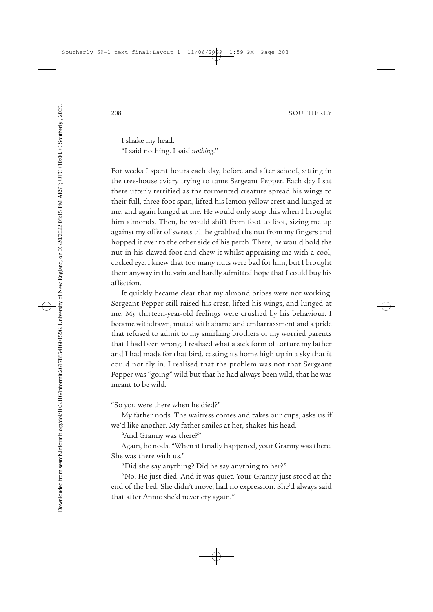I shake my head. "I said nothing. I said *nothing*."

For weeks I spent hours each day, before and after school, sitting in the tree-house aviary trying to tame Sergeant Pepper. Each day I sat there utterly terrified as the tormented creature spread his wings to their full, three-foot span, lifted his lemon-yellow crest and lunged at me, and again lunged at me. He would only stop this when I brought him almonds. Then, he would shift from foot to foot, sizing me up against my offer of sweets till he grabbed the nut from my fingers and hopped it over to the other side of his perch. There, he would hold the nut in his clawed foot and chew it whilst appraising me with a cool, cocked eye. I knew that too many nuts were bad for him, but I brought them anyway in the vain and hardly admitted hope that I could buy his affection.

It quickly became clear that my almond bribes were not working. Sergeant Pepper still raised his crest, lifted his wings, and lunged at me. My thirteen-year-old feelings were crushed by his behaviour. I became withdrawn, muted with shame and embarrassment and a pride that refused to admit to my smirking brothers or my worried parents that I had been wrong. I realised what a sick form of torture my father and I had made for that bird, casting its home high up in a sky that it could not fly in. I realised that the problem was not that Sergeant Pepper was "going" wild but that he had always been wild, that he was meant to be wild.

"So you were there when he died?"

My father nods. The waitress comes and takes our cups, asks us if we'd like another. My father smiles at her, shakes his head.

"And Granny was there?"

Again, he nods. "When it finally happened, your Granny was there. She was there with us."

"Did she say anything? Did he say anything to her?"

"No. He just died. And it was quiet. Your Granny just stood at the end of the bed. She didn't move, had no expression. She'd always said that after Annie she'd never cry again."

Downloaded from search.informit.org/doi/10.3316/informit.261788541601596. University of New England, on 06/20/2022 08:15 PM AEST; UTC+10:00. © Southerly , 2009.Downloaded from search.informit.org/doi/10.3316/informit.261788541601596. University of New England, on 06/20/2022 08:15 PM AEST; UTC+10:00. © Southerly , 2009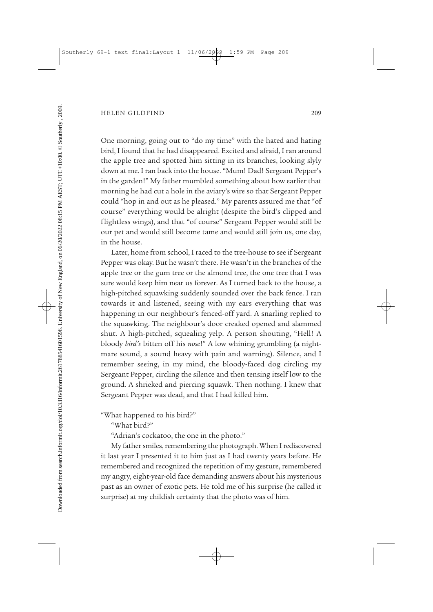One morning, going out to "do my time" with the hated and hating bird, I found that he had disappeared. Excited and afraid, I ran around the apple tree and spotted him sitting in its branches, looking slyly down at me. I ran back into the house. "Mum! Dad! Sergeant Pepper's in the garden!" My father mumbled something about how earlier that morning he had cut a hole in the aviary's wire so that Sergeant Pepper could "hop in and out as he pleased." My parents assured me that "of course" everything would be alright (despite the bird's clipped and flightless wings), and that "of course" Sergeant Pepper would still be our pet and would still become tame and would still join us, one day, in the house.

Later, home from school, I raced to the tree-house to see if Sergeant Pepper was okay. But he wasn't there. He wasn't in the branches of the apple tree or the gum tree or the almond tree, the one tree that I was sure would keep him near us forever. As I turned back to the house, a high-pitched squawking suddenly sounded over the back fence. I ran towards it and listened, seeing with my ears everything that was happening in our neighbour's fenced-off yard. A snarling replied to the squawking. The neighbour's door creaked opened and slammed shut. A high-pitched, squealing yelp. A person shouting, "Hell! A bloody *bird's* bitten off his *nose*!" A low whining grumbling (a night mare sound, a sound heavy with pain and warning). Silence, and I remember seeing, in my mind, the bloody-faced dog circling my Sergeant Pepper, circling the silence and then tensing itself low to the ground. A shrieked and piercing squawk. Then nothing. I knew that Sergeant Pepper was dead, and that I had killed him.

"What happened to his bird?"

"What bird?"

"Adrian's cockatoo, the one in the photo."

My father smiles, remembering the photograph. When I rediscovered it last year I presented it to him just as I had twenty years before. He remembered and recognized the repetition of my gesture, remembered my angry, eight-year-old face demanding answers about his mysterious past as an owner of exotic pets. He told me of his surprise (he called it surprise) at my childish certainty that the photo was of him.